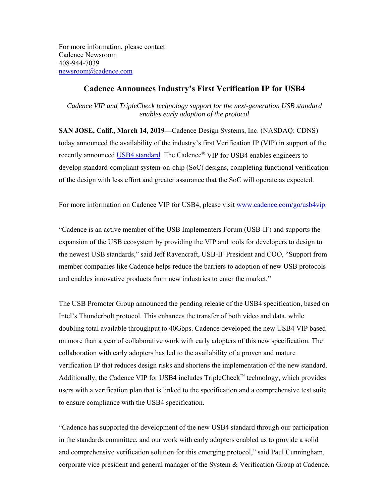For more information, please contact: Cadence Newsroom 408-944-7039 newsroom@cadence.com

## **Cadence Announces Industry's First Verification IP for USB4**

*Cadence VIP and TripleCheck technology support for the next-generation USB standard enables early adoption of the protocol* 

**SAN JOSE, Calif., March 14, 2019—**Cadence Design Systems, Inc. (NASDAQ: CDNS) today announced the availability of the industry's first Verification IP (VIP) in support of the recently announced USB4 standard. The Cadence® VIP for USB4 enables engineers to develop standard-compliant system-on-chip (SoC) designs, completing functional verification of the design with less effort and greater assurance that the SoC will operate as expected.

For more information on Cadence VIP for USB4, please visit www.cadence.com/go/usb4vip.

"Cadence is an active member of the USB Implementers Forum (USB-IF) and supports the expansion of the USB ecosystem by providing the VIP and tools for developers to design to the newest USB standards," said Jeff Ravencraft, USB-IF President and COO, "Support from member companies like Cadence helps reduce the barriers to adoption of new USB protocols and enables innovative products from new industries to enter the market."

The USB Promoter Group announced the pending release of the USB4 specification, based on Intel's Thunderbolt protocol. This enhances the transfer of both video and data, while doubling total available throughput to 40Gbps. Cadence developed the new USB4 VIP based on more than a year of collaborative work with early adopters of this new specification. The collaboration with early adopters has led to the availability of a proven and mature verification IP that reduces design risks and shortens the implementation of the new standard. Additionally, the Cadence VIP for USB4 includes TripleCheck™ technology, which provides users with a verification plan that is linked to the specification and a comprehensive test suite to ensure compliance with the USB4 specification.

"Cadence has supported the development of the new USB4 standard through our participation in the standards committee, and our work with early adopters enabled us to provide a solid and comprehensive verification solution for this emerging protocol," said Paul Cunningham, corporate vice president and general manager of the System & Verification Group at Cadence.